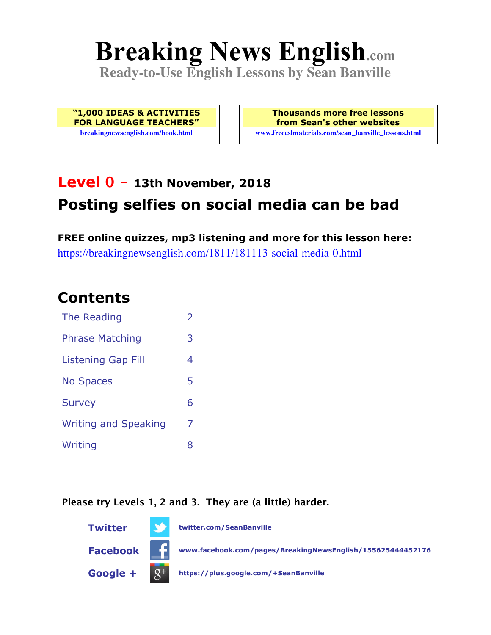# **Breaking News English.com**

**Ready-to-Use English Lessons by Sean Banville**

**"1,000 IDEAS & ACTIVITIES FOR LANGUAGE TEACHERS" breakingnewsenglish.com/book.html**

**Thousands more free lessons from Sean's other websites www.freeeslmaterials.com/sean\_banville\_lessons.html**

# **Level 0 - 13th November, 2018 Posting selfies on social media can be bad**

**FREE online quizzes, mp3 listening and more for this lesson here:** https://breakingnewsenglish.com/1811/181113-social-media-0.html

#### **Contents**

| The Reading                 | $\overline{\phantom{a}}$ |
|-----------------------------|--------------------------|
| <b>Phrase Matching</b>      | 3                        |
| Listening Gap Fill          | 4                        |
| <b>No Spaces</b>            | 5                        |
| <b>Survey</b>               | 6                        |
| <b>Writing and Speaking</b> | 7                        |
| Writing                     | 8                        |

**Please try Levels 1, 2 and 3. They are (a little) harder.**

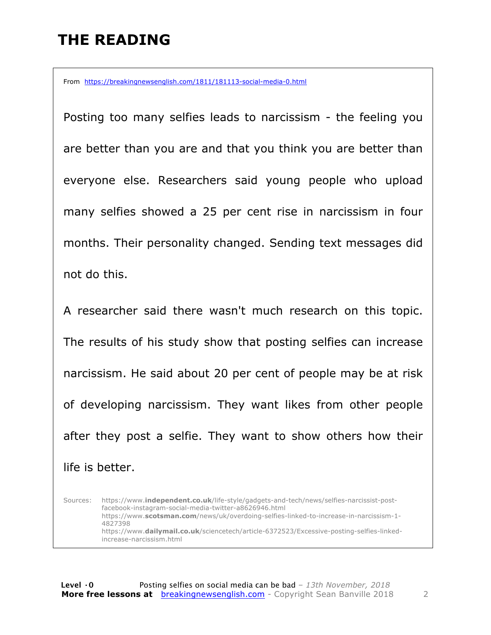## **THE READING**

From https://breakingnewsenglish.com/1811/181113-social-media-0.html

Posting too many selfies leads to narcissism - the feeling you are better than you are and that you think you are better than everyone else. Researchers said young people who upload many selfies showed a 25 per cent rise in narcissism in four months. Their personality changed. Sending text messages did not do this.

A researcher said there wasn't much research on this topic. The results of his study show that posting selfies can increase narcissism. He said about 20 per cent of people may be at risk of developing narcissism. They want likes from other people after they post a selfie. They want to show others how their life is better.

Sources: https://www.**independent.co.uk**/life-style/gadgets-and-tech/news/selfies-narcissist-postfacebook-instagram-social-media-twitter-a8626946.html https://www.**scotsman.com**/news/uk/overdoing-selfies-linked-to-increase-in-narcissism-1- 4827398 https://www.**dailymail.co.uk**/sciencetech/article-6372523/Excessive-posting-selfies-linkedincrease-narcissism.html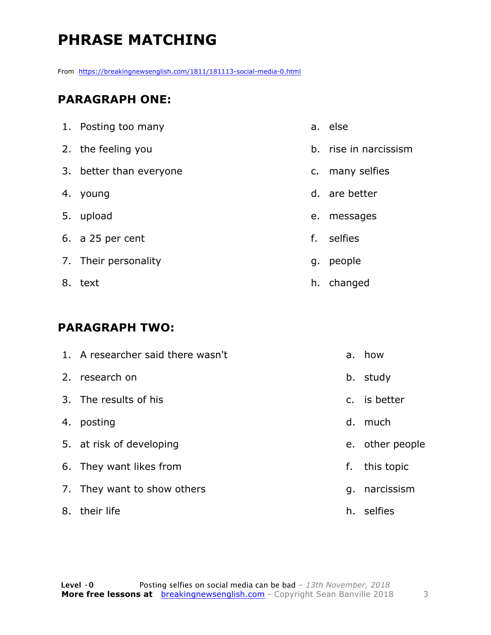# **PHRASE MATCHING**

From https://breakingnewsenglish.com/1811/181113-social-media-0.html

#### **PARAGRAPH ONE:**

| 1. Posting too many     |    | a. else               |
|-------------------------|----|-----------------------|
| 2. the feeling you      |    | b. rise in narcissism |
| 3. better than everyone |    | c. many selfies       |
| 4. young                |    | d. are better         |
| 5. upload               | e. | messages              |
| 6. a 25 per cent        | f. | selfies               |
| 7. Their personality    | g. | people                |
| 8. text                 |    | h. changed            |

#### **PARAGRAPH TWO:**

| 1. A researcher said there wasn't |    | a. how          |
|-----------------------------------|----|-----------------|
| 2. research on                    |    | b. study        |
| 3. The results of his             |    | c. is better    |
| 4. posting                        |    | d. much         |
| 5. at risk of developing          |    | e. other people |
| 6. They want likes from           | f. | this topic      |
| 7. They want to show others       | q. | narcissism      |
| 8. their life                     |    | h. selfies      |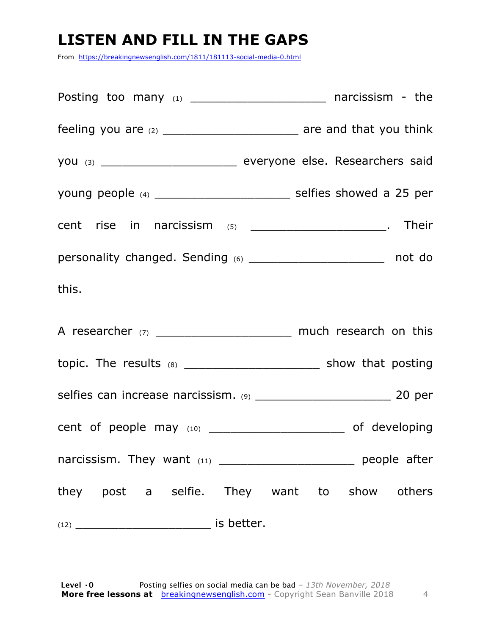# **LISTEN AND FILL IN THE GAPS**

From https://breakingnewsenglish.com/1811/181113-social-media-0.html

| feeling you are (2) ________________________________ are and that you think   |  |
|-------------------------------------------------------------------------------|--|
| you (3) _________________________________ everyone else. Researchers said     |  |
| young people (4) ___________________________ selfies showed a 25 per          |  |
| cent rise in narcissism $(5)$ _______________________. Their                  |  |
| personality changed. Sending (6) _________________________ not do             |  |
| this.                                                                         |  |
| A researcher (7) __________________________ much research on this             |  |
| topic. The results $(8)$ __________________________________ show that posting |  |
|                                                                               |  |
|                                                                               |  |
| narcissism. They want $(11)$ _____________________________ people after       |  |
| they post a selfie. They want to show others                                  |  |
|                                                                               |  |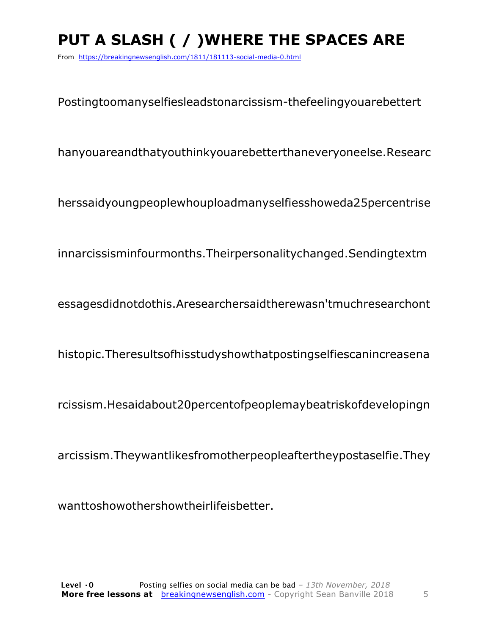# **PUT A SLASH ( / )WHERE THE SPACES ARE**

From https://breakingnewsenglish.com/1811/181113-social-media-0.html

Postingtoomanyselfiesleadstonarcissism-thefeelingyouarebettert

hanyouareandthatyouthinkyouarebetterthaneveryoneelse.Researc

herssaidyoungpeoplewhouploadmanyselfiesshoweda25percentrise

innarcissisminfourmonths.Theirpersonalitychanged.Sendingtextm

essagesdidnotdothis.Aresearchersaidtherewasn'tmuchresearchont

histopic.Theresultsofhisstudyshowthatpostingselfiescanincreasena

rcissism.Hesaidabout20percentofpeoplemaybeatriskofdevelopingn

arcissism.Theywantlikesfromotherpeopleaftertheypostaselfie.They

wanttoshowothershowtheirlifeisbetter.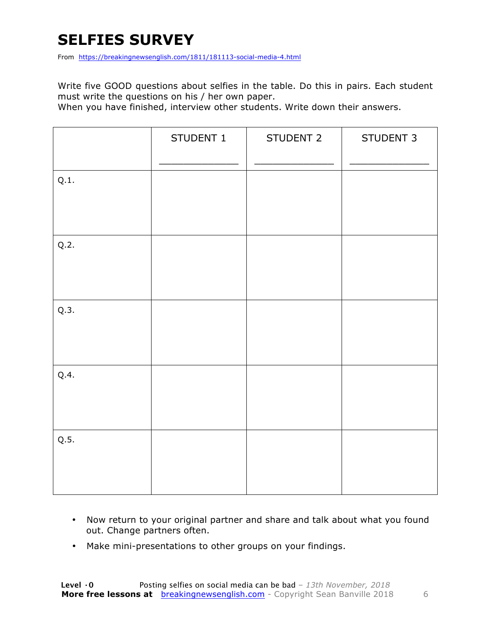#### **SELFIES SURVEY**

From https://breakingnewsenglish.com/1811/181113-social-media-4.html

Write five GOOD questions about selfies in the table. Do this in pairs. Each student must write the questions on his / her own paper.

When you have finished, interview other students. Write down their answers.

|      | STUDENT 1 | STUDENT 2 | STUDENT 3 |
|------|-----------|-----------|-----------|
| Q.1. |           |           |           |
| Q.2. |           |           |           |
| Q.3. |           |           |           |
| Q.4. |           |           |           |
| Q.5. |           |           |           |

- Now return to your original partner and share and talk about what you found out. Change partners often.
- Make mini-presentations to other groups on your findings.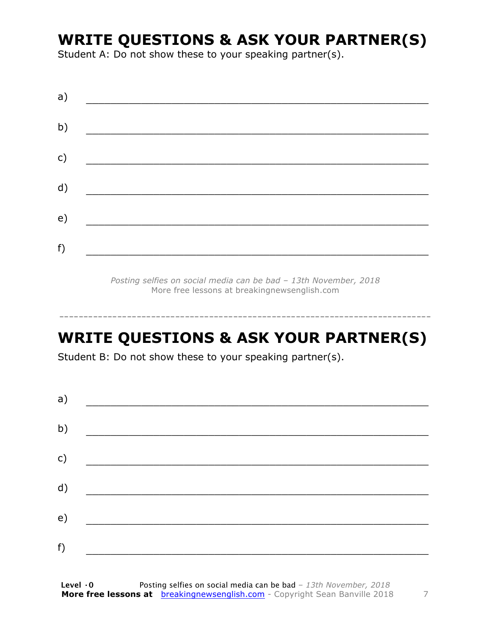#### **WRITE QUESTIONS & ASK YOUR PARTNER(S)**

Student A: Do not show these to your speaking partner(s).

| a) |  |  |
|----|--|--|
| b) |  |  |
| c) |  |  |
| d) |  |  |
| e) |  |  |
| f) |  |  |
|    |  |  |

*Posting selfies on social media can be bad – 13th November, 2018* More free lessons at breakingnewsenglish.com

#### **WRITE QUESTIONS & ASK YOUR PARTNER(S)**

-----------------------------------------------------------------------------

Student B: Do not show these to your speaking partner(s).

| a) |  |  |
|----|--|--|
| b) |  |  |
| c) |  |  |
| d) |  |  |
| e) |  |  |
| f) |  |  |
|    |  |  |